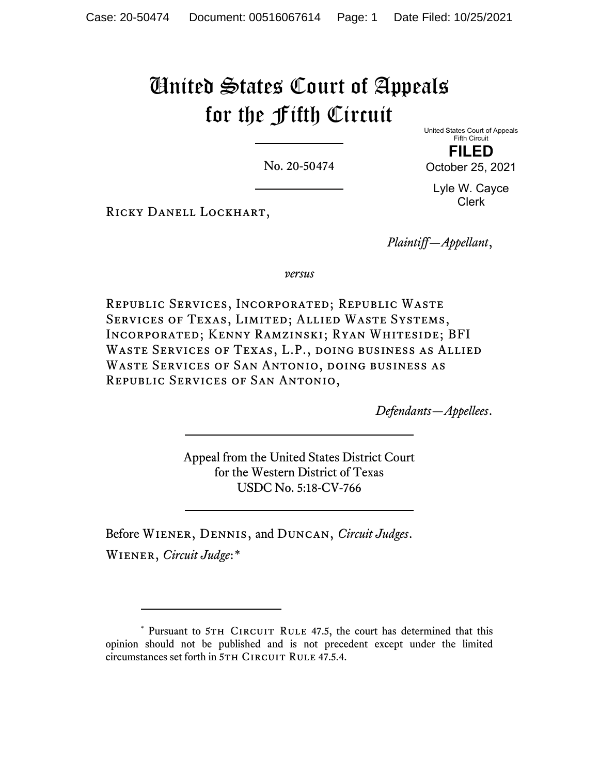# United States Court of Appeals for the Fifth Circuit

No. 20-50474

United States Court of Appeals Fifth Circuit **FILED** October 25, 2021

Lyle W. Cayce Clerk

Ricky Danell Lockhart,

*Plaintiff—Appellant*,

*versus*

Republic Services, Incorporated; Republic Waste Services of Texas, Limited; Allied Waste Systems, Incorporated; Kenny Ramzinski; Ryan Whiteside; BFI Waste Services of Texas, L.P., doing business as Allied Waste Services of San Antonio, doing business as Republic Services of San Antonio,

*Defendants—Appellees*.

Appeal from the United States District Court for the Western District of Texas USDC No. 5:18-CV-766

Before Wiener, Dennis, and Duncan, *Circuit Judges*. Wiener, *Circuit Judge*:[\\*](#page-0-0)

<span id="page-0-0"></span><sup>\*</sup> Pursuant to 5TH CIRCUIT RULE 47.5, the court has determined that this opinion should not be published and is not precedent except under the limited circumstances set forth in 5TH CIRCUIT RULE 47.5.4.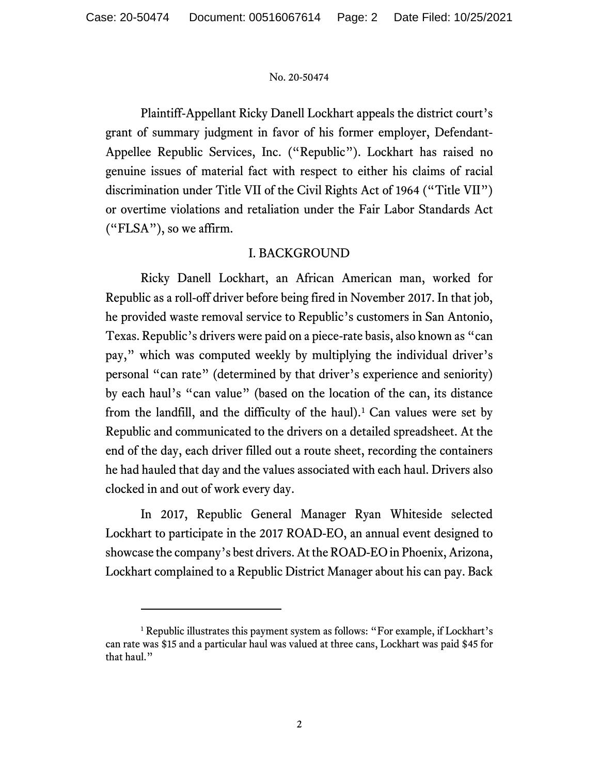Plaintiff-Appellant Ricky Danell Lockhart appeals the district court's grant of summary judgment in favor of his former employer, Defendant-Appellee Republic Services, Inc. ("Republic"). Lockhart has raised no genuine issues of material fact with respect to either his claims of racial discrimination under Title VII of the Civil Rights Act of 1964 ("Title VII") or overtime violations and retaliation under the Fair Labor Standards Act ("FLSA"), so we affirm.

# I. BACKGROUND

Ricky Danell Lockhart, an African American man, worked for Republic as a roll-off driver before being fired in November 2017. In that job, he provided waste removal service to Republic's customers in San Antonio, Texas. Republic's drivers were paid on a piece-rate basis, also known as "can pay," which was computed weekly by multiplying the individual driver's personal "can rate" (determined by that driver's experience and seniority) by each haul's "can value" (based on the location of the can, its distance from the landfill, and the difficulty of the haul).<sup>[1](#page-1-0)</sup> Can values were set by Republic and communicated to the drivers on a detailed spreadsheet. At the end of the day, each driver filled out a route sheet, recording the containers he had hauled that day and the values associated with each haul. Drivers also clocked in and out of work every day.

In 2017, Republic General Manager Ryan Whiteside selected Lockhart to participate in the 2017 ROAD-EO, an annual event designed to showcase the company's best drivers. At the ROAD-EO in Phoenix, Arizona, Lockhart complained to a Republic District Manager about his can pay. Back

<span id="page-1-0"></span><sup>&</sup>lt;sup>1</sup> Republic illustrates this payment system as follows: "For example, if Lockhart's can rate was \$15 and a particular haul was valued at three cans, Lockhart was paid \$45 for that haul."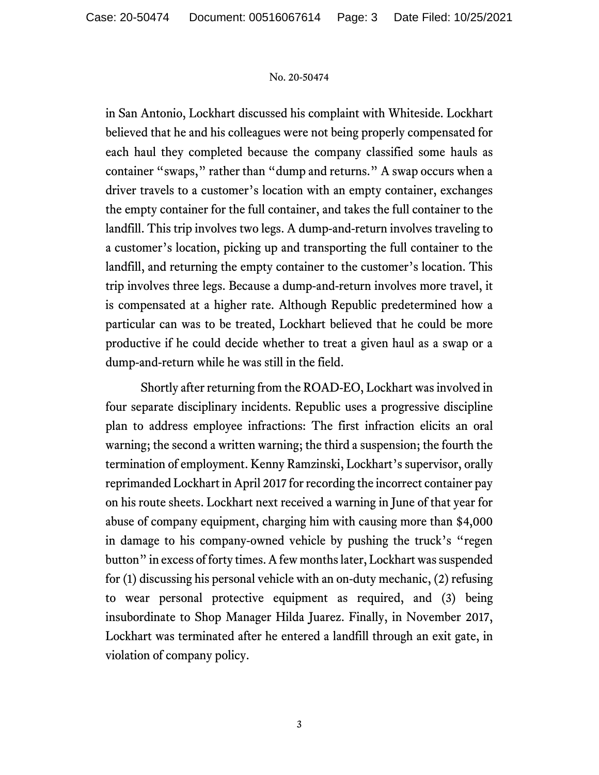in San Antonio, Lockhart discussed his complaint with Whiteside. Lockhart believed that he and his colleagues were not being properly compensated for each haul they completed because the company classified some hauls as container "swaps," rather than "dump and returns." A swap occurs when a driver travels to a customer's location with an empty container, exchanges the empty container for the full container, and takes the full container to the landfill. This trip involves two legs. A dump-and-return involves traveling to a customer's location, picking up and transporting the full container to the landfill, and returning the empty container to the customer's location. This trip involves three legs. Because a dump-and-return involves more travel, it is compensated at a higher rate. Although Republic predetermined how a particular can was to be treated, Lockhart believed that he could be more productive if he could decide whether to treat a given haul as a swap or a dump-and-return while he was still in the field.

Shortly after returning from the ROAD-EO, Lockhart was involved in four separate disciplinary incidents. Republic uses a progressive discipline plan to address employee infractions: The first infraction elicits an oral warning; the second a written warning; the third a suspension; the fourth the termination of employment. Kenny Ramzinski, Lockhart's supervisor, orally reprimanded Lockhart in April 2017 for recording the incorrect container pay on his route sheets. Lockhart next received a warning in June of that year for abuse of company equipment, charging him with causing more than \$4,000 in damage to his company-owned vehicle by pushing the truck's "regen button" in excess of forty times. A few months later, Lockhart was suspended for (1) discussing his personal vehicle with an on-duty mechanic, (2) refusing to wear personal protective equipment as required, and (3) being insubordinate to Shop Manager Hilda Juarez. Finally, in November 2017, Lockhart was terminated after he entered a landfill through an exit gate, in violation of company policy.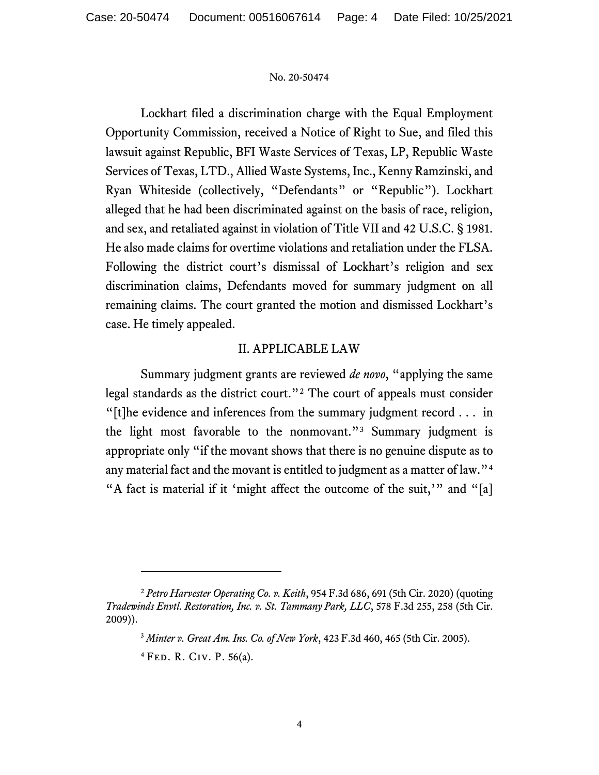Lockhart filed a discrimination charge with the Equal Employment Opportunity Commission, received a Notice of Right to Sue, and filed this lawsuit against Republic, BFI Waste Services of Texas, LP, Republic Waste Services of Texas, LTD., Allied Waste Systems, Inc., Kenny Ramzinski, and Ryan Whiteside (collectively, "Defendants" or "Republic"). Lockhart alleged that he had been discriminated against on the basis of race, religion, and sex, and retaliated against in violation of Title VII and 42 U.S.C. § 1981. He also made claims for overtime violations and retaliation under the FLSA. Following the district court's dismissal of Lockhart's religion and sex discrimination claims, Defendants moved for summary judgment on all remaining claims. The court granted the motion and dismissed Lockhart's case. He timely appealed.

## II. APPLICABLE LAW

Summary judgment grants are reviewed *de novo*, "applying the same legal standards as the district court."[2](#page-3-0) The court of appeals must consider "[t]he evidence and inferences from the summary judgment record . . . in the light most favorable to the nonmovant."[3](#page-3-1) Summary judgment is appropriate only "if the movant shows that there is no genuine dispute as to any material fact and the movant is entitled to judgment as a matter of law."[4](#page-3-2) "A fact is material if it 'might affect the outcome of the suit,'" and "[a]

<span id="page-3-2"></span><span id="page-3-1"></span><span id="page-3-0"></span><sup>2</sup> *Petro Harvester Operating Co. v. Keith*, 954 F.3d 686, 691 (5th Cir. 2020) (quoting *Tradewinds Envtl. Restoration, Inc. v. St. Tammany Park, LLC*, 578 F.3d 255, 258 (5th Cir. 2009)).

<sup>3</sup> *Minter v. Great Am. Ins. Co. of New York*, 423 F.3d 460, 465 (5th Cir. 2005).

<sup>4</sup> Fed. R. Civ. P. 56(a).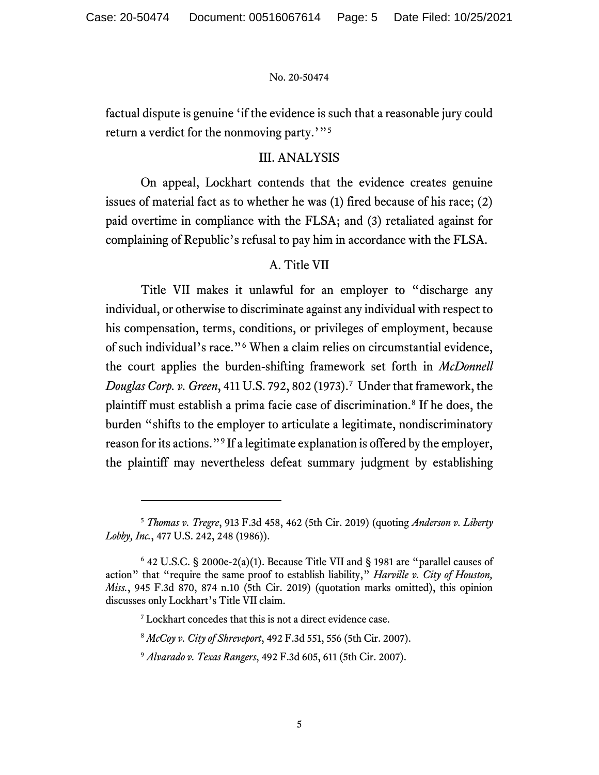factual dispute is genuine 'if the evidence is such that a reasonable jury could return a verdict for the nonmoving party.'"[5](#page-4-0)

# III. ANALYSIS

On appeal, Lockhart contends that the evidence creates genuine issues of material fact as to whether he was (1) fired because of his race; (2) paid overtime in compliance with the FLSA; and (3) retaliated against for complaining of Republic's refusal to pay him in accordance with the FLSA.

# A. Title VII

Title VII makes it unlawful for an employer to "discharge any individual, or otherwise to discriminate against any individual with respect to his compensation, terms, conditions, or privileges of employment, because of such individual's race."[6](#page-4-1) When a claim relies on circumstantial evidence, the court applies the burden-shifting framework set forth in *McDonnell Douglas Corp. v. Green*, 411 U.S. 792, 802 (1973).[7](#page-4-2) Under that framework, the plaintiff must establish a prima facie case of discrimination.[8](#page-4-3) If he does, the burden "shifts to the employer to articulate a legitimate, nondiscriminatory reason for its actions."[9](#page-4-4) If a legitimate explanation is offered by the employer, the plaintiff may nevertheless defeat summary judgment by establishing

<span id="page-4-0"></span><sup>5</sup> *Thomas v. Tregre*, 913 F.3d 458, 462 (5th Cir. 2019) (quoting *Anderson v. Liberty Lobby, Inc.*, 477 U.S. 242, 248 (1986)).

<span id="page-4-3"></span><span id="page-4-2"></span><span id="page-4-1"></span> $6$  42 U.S.C. § 2000e-2(a)(1). Because Title VII and § 1981 are "parallel causes of action" that "require the same proof to establish liability," *Harville v. City of Houston, Miss.*, 945 F.3d 870, 874 n.10 (5th Cir. 2019) (quotation marks omitted), this opinion discusses only Lockhart's Title VII claim.

<sup>7</sup> Lockhart concedes that this is not a direct evidence case.

<sup>8</sup> *McCoy v. City of Shreveport*, 492 F.3d 551, 556 (5th Cir. 2007).

<span id="page-4-4"></span><sup>9</sup> *Alvarado v. Texas Rangers*, 492 F.3d 605, 611 (5th Cir. 2007).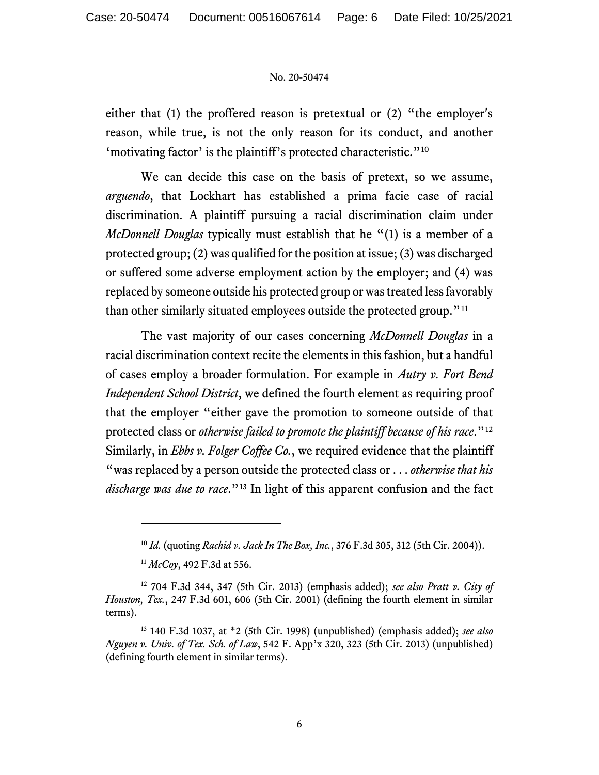either that (1) the proffered reason is pretextual or (2) "the employer's reason, while true, is not the only reason for its conduct, and another 'motivating factor' is the plaintiff's protected characteristic."[10](#page-5-0)

We can decide this case on the basis of pretext, so we assume, *arguendo*, that Lockhart has established a prima facie case of racial discrimination. A plaintiff pursuing a racial discrimination claim under *McDonnell Douglas* typically must establish that he "(1) is a member of a protected group; (2) was qualified for the position at issue; (3) was discharged or suffered some adverse employment action by the employer; and (4) was replaced by someone outside his protected group or was treated less favorably than other similarly situated employees outside the protected group."<sup>[11](#page-5-1)</sup>

The vast majority of our cases concerning *McDonnell Douglas* in a racial discrimination context recite the elements in this fashion, but a handful of cases employ a broader formulation. For example in *Autry v. Fort Bend Independent School District*, we defined the fourth element as requiring proof that the employer "either gave the promotion to someone outside of that protected class or *otherwise failed to promote the plaintiff because of his race*."[12](#page-5-2) Similarly, in *Ebbs v. Folger Coffee Co.*, we required evidence that the plaintiff "was replaced by a person outside the protected class or . . . *otherwise that his discharge was due to race*."[13](#page-5-3) In light of this apparent confusion and the fact

<sup>10</sup> *Id.* (quoting *Rachid v. Jack In The Box, Inc.*, 376 F.3d 305, 312 (5th Cir. 2004)).

<sup>11</sup> *McCoy*, 492 F.3d at 556.

<span id="page-5-2"></span><span id="page-5-1"></span><span id="page-5-0"></span><sup>12</sup> 704 F.3d 344, 347 (5th Cir. 2013) (emphasis added); *see also Pratt v. City of Houston, Tex.*, 247 F.3d 601, 606 (5th Cir. 2001) (defining the fourth element in similar terms).

<span id="page-5-3"></span><sup>13</sup> 140 F.3d 1037, at \*2 (5th Cir. 1998) (unpublished) (emphasis added); *see also Nguyen v. Univ. of Tex. Sch. of Law*, 542 F. App'x 320, 323 (5th Cir. 2013) (unpublished) (defining fourth element in similar terms).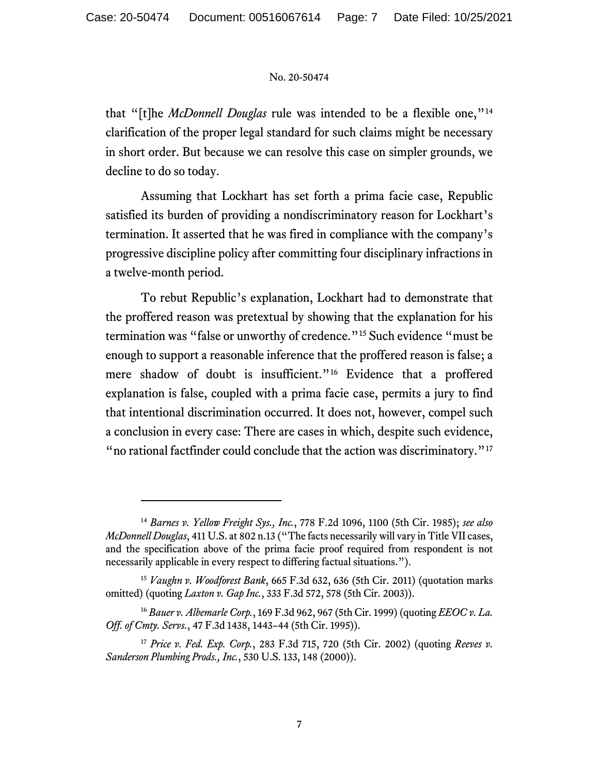that "[t]he *McDonnell Douglas* rule was intended to be a flexible one,"[14](#page-6-0) clarification of the proper legal standard for such claims might be necessary in short order. But because we can resolve this case on simpler grounds, we decline to do so today.

Assuming that Lockhart has set forth a prima facie case, Republic satisfied its burden of providing a nondiscriminatory reason for Lockhart's termination. It asserted that he was fired in compliance with the company's progressive discipline policy after committing four disciplinary infractions in a twelve-month period.

To rebut Republic's explanation, Lockhart had to demonstrate that the proffered reason was pretextual by showing that the explanation for his termination was "false or unworthy of credence."[15](#page-6-1) Such evidence "must be enough to support a reasonable inference that the proffered reason is false; a mere shadow of doubt is insufficient."[16](#page-6-2) Evidence that a proffered explanation is false, coupled with a prima facie case, permits a jury to find that intentional discrimination occurred. It does not, however, compel such a conclusion in every case: There are cases in which, despite such evidence, " no rational factfinder could conclude that the action was discriminatory."<sup>[17](#page-6-3)</sup>

<span id="page-6-0"></span><sup>14</sup> *Barnes v. Yellow Freight Sys., Inc.*, 778 F.2d 1096, 1100 (5th Cir. 1985); *see also McDonnell Douglas*, 411 U.S. at 802 n.13 ("The facts necessarily will vary in Title VII cases, and the specification above of the prima facie proof required from respondent is not necessarily applicable in every respect to differing factual situations.").

<span id="page-6-1"></span><sup>15</sup> *Vaughn v. Woodforest Bank*, 665 F.3d 632, 636 (5th Cir. 2011) (quotation marks omitted) (quoting *Laxton v. Gap Inc.*, 333 F.3d 572, 578 (5th Cir. 2003)).

<span id="page-6-2"></span><sup>16</sup> *Bauer v. Albemarle Corp.*, 169 F.3d 962, 967 (5th Cir. 1999) (quoting *EEOC v. La. Off. of Cmty. Servs.*, 47 F.3d 1438, 1443–44 (5th Cir. 1995)).

<span id="page-6-3"></span><sup>17</sup> *Price v. Fed. Exp. Corp.*, 283 F.3d 715, 720 (5th Cir. 2002) (quoting *Reeves v. Sanderson Plumbing Prods., Inc.*, 530 U.S. 133, 148 (2000)).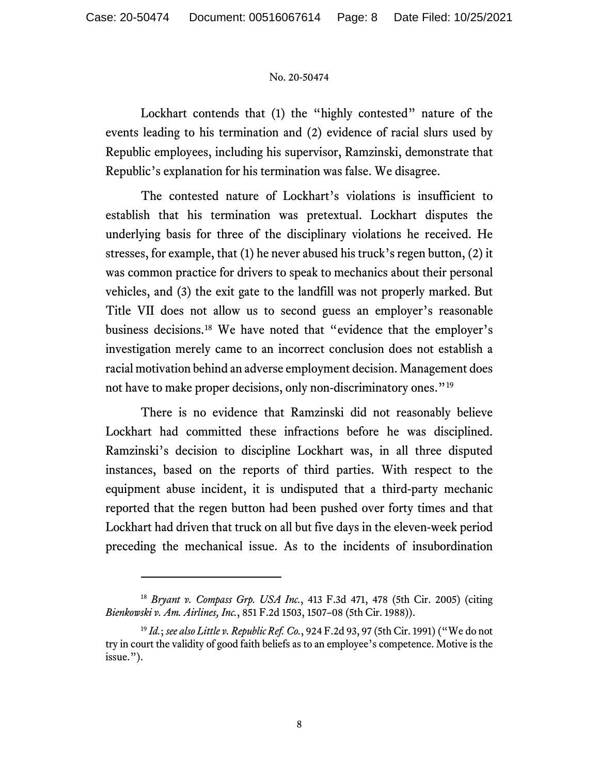Lockhart contends that (1) the "highly contested" nature of the events leading to his termination and (2) evidence of racial slurs used by Republic employees, including his supervisor, Ramzinski, demonstrate that Republic's explanation for his termination was false. We disagree.

The contested nature of Lockhart's violations is insufficient to establish that his termination was pretextual. Lockhart disputes the underlying basis for three of the disciplinary violations he received. He stresses, for example, that (1) he never abused his truck's regen button, (2) it was common practice for drivers to speak to mechanics about their personal vehicles, and (3) the exit gate to the landfill was not properly marked. But Title VII does not allow us to second guess an employer's reasonable business decisions.[18](#page-7-0) We have noted that "evidence that the employer's investigation merely came to an incorrect conclusion does not establish a racial motivation behind an adverse employment decision. Management does not have to make proper decisions, only non-discriminatory ones."<sup>[19](#page-7-1)</sup>

There is no evidence that Ramzinski did not reasonably believe Lockhart had committed these infractions before he was disciplined. Ramzinski's decision to discipline Lockhart was, in all three disputed instances, based on the reports of third parties. With respect to the equipment abuse incident, it is undisputed that a third-party mechanic reported that the regen button had been pushed over forty times and that Lockhart had driven that truck on all but five days in the eleven-week period preceding the mechanical issue. As to the incidents of insubordination

<span id="page-7-0"></span><sup>18</sup> *Bryant v. Compass Grp. USA Inc.*, 413 F.3d 471, 478 (5th Cir. 2005) (citing *Bienkowski v. Am. Airlines, Inc.*, 851 F.2d 1503, 1507–08 (5th Cir. 1988)).

<span id="page-7-1"></span><sup>19</sup> *Id.*; *see also Little v. Republic Ref. Co.*, 924 F.2d 93, 97 (5th Cir. 1991) ("We do not try in court the validity of good faith beliefs as to an employee's competence. Motive is the issue.").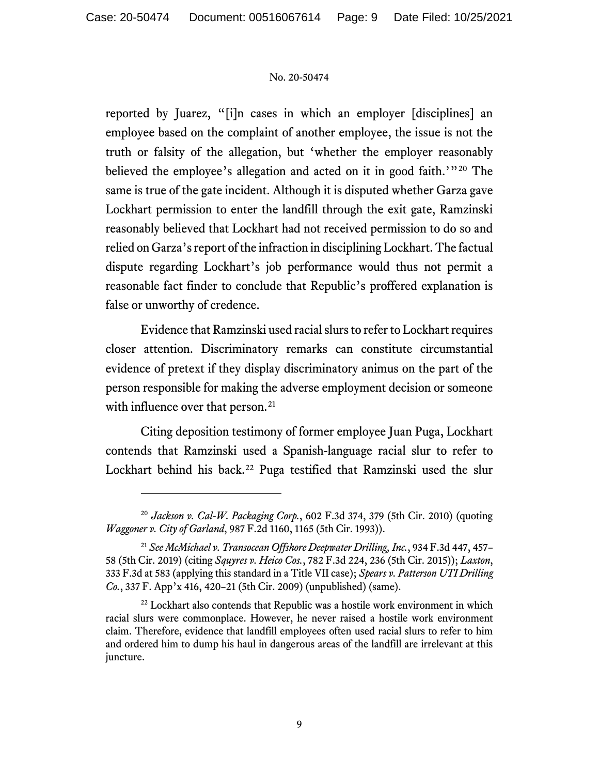reported by Juarez, "[i]n cases in which an employer [disciplines] an employee based on the complaint of another employee, the issue is not the truth or falsity of the allegation, but 'whether the employer reasonably believed the employee's allegation and acted on it in good faith.'"<sup>[20](#page-8-0)</sup> The same is true of the gate incident. Although it is disputed whether Garza gave Lockhart permission to enter the landfill through the exit gate, Ramzinski reasonably believed that Lockhart had not received permission to do so and relied on Garza's report of the infraction in disciplining Lockhart. The factual dispute regarding Lockhart's job performance would thus not permit a reasonable fact finder to conclude that Republic's proffered explanation is false or unworthy of credence.

Evidence that Ramzinski used racial slurs to refer to Lockhart requires closer attention. Discriminatory remarks can constitute circumstantial evidence of pretext if they display discriminatory animus on the part of the person responsible for making the adverse employment decision or someone with influence over that person.<sup>[21](#page-8-1)</sup>

Citing deposition testimony of former employee Juan Puga, Lockhart contends that Ramzinski used a Spanish-language racial slur to refer to Lockhart behind his back.<sup>[22](#page-8-2)</sup> Puga testified that Ramzinski used the slur

<span id="page-8-0"></span><sup>20</sup> *Jackson v. Cal-W. Packaging Corp.*, 602 F.3d 374, 379 (5th Cir. 2010) (quoting *Waggoner v. City of Garland*, 987 F.2d 1160, 1165 (5th Cir. 1993)).

<span id="page-8-1"></span><sup>21</sup> *See McMichael v. Transocean Offshore Deepwater Drilling, Inc.*, 934 F.3d 447, 457– 58 (5th Cir. 2019) (citing *Squyres v. Heico Cos.*, 782 F.3d 224, 236 (5th Cir. 2015)); *Laxton*, 333 F.3d at 583 (applying this standard in a Title VII case); *Spears v. Patterson UTI Drilling Co.*, 337 F. App'x 416, 420–21 (5th Cir. 2009) (unpublished) (same).

<span id="page-8-2"></span><sup>&</sup>lt;sup>22</sup> Lockhart also contends that Republic was a hostile work environment in which racial slurs were commonplace. However, he never raised a hostile work environment claim. Therefore, evidence that landfill employees often used racial slurs to refer to him and ordered him to dump his haul in dangerous areas of the landfill are irrelevant at this juncture.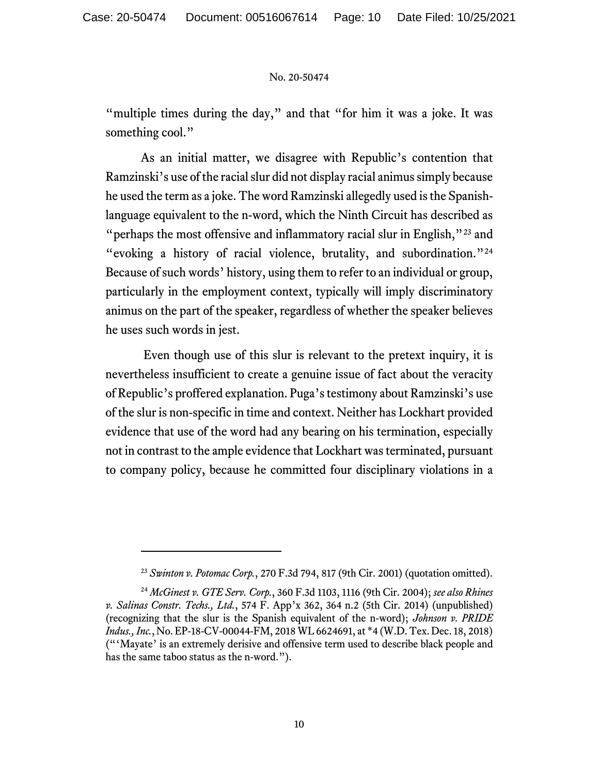"multiple times during the day," and that "for him it was a joke. It was something cool."

As an initial matter, we disagree with Republic's contention that Ramzinski's use of the racial slur did not display racial animus simply because he used the term as a joke. The word Ramzinski allegedly used is the Spanishlanguage equivalent to the n-word, which the Ninth Circuit has described as "perhaps the most offensive and inflammatory racial slur in English,"<sup>[23](#page-9-0)</sup> and "evoking a history of racial violence, brutality, and subordination."[24](#page-9-1) Because of such words' history, using them to refer to an individual or group, particularly in the employment context, typically will imply discriminatory animus on the part of the speaker, regardless of whether the speaker believes he uses such words in jest.

Even though use of this slur is relevant to the pretext inquiry, it is nevertheless insufficient to create a genuine issue of fact about the veracity of Republic's proffered explanation. Puga's testimony about Ramzinski's use of the slur is non-specific in time and context. Neither has Lockhart provided evidence that use of the word had any bearing on his termination, especially not in contrast to the ample evidence that Lockhart was terminated, pursuant to company policy, because he committed four disciplinary violations in a

<sup>23</sup> *Swinton v. Potomac Corp.*, 270 F.3d 794, 817 (9th Cir. 2001) (quotation omitted).

<span id="page-9-1"></span><span id="page-9-0"></span><sup>24</sup> *McGinest v. GTE Serv. Corp.*, 360 F.3d 1103, 1116 (9th Cir. 2004); *see also Rhines v. Salinas Constr. Techs., Ltd.*, 574 F. App'x 362, 364 n.2 (5th Cir. 2014) (unpublished) (recognizing that the slur is the Spanish equivalent of the n-word); *Johnson v. PRIDE Indus., Inc.*, No. EP-18-CV-00044-FM, 2018 WL 6624691, at \*4 (W.D. Tex. Dec. 18, 2018) ("'Mayate' is an extremely derisive and offensive term used to describe black people and has the same taboo status as the n-word.").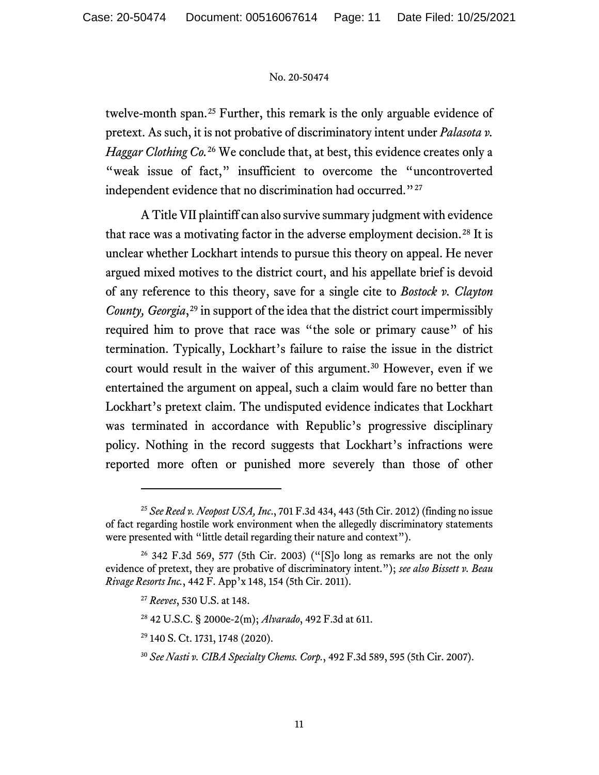twelve-month span.<sup>[25](#page-10-0)</sup> Further, this remark is the only arguable evidence of pretext. As such, it is not probative of discriminatory intent under *Palasota v. Haggar Clothing Co.*[26](#page-10-1) We conclude that, at best, this evidence creates only a "weak issue of fact," insufficient to overcome the "uncontroverted independent evidence that no discrimination had occurred."<sup>[27](#page-10-2)</sup>

A Title VII plaintiff can also survive summary judgment with evidence that race was a motivating factor in the adverse employment decision.<sup>[28](#page-10-3)</sup> It is unclear whether Lockhart intends to pursue this theory on appeal. He never argued mixed motives to the district court, and his appellate brief is devoid of any reference to this theory, save for a single cite to *Bostock v. Clayton County, Georgia*,<sup>[29](#page-10-4)</sup> in support of the idea that the district court impermissibly required him to prove that race was "the sole or primary cause" of his termination. Typically, Lockhart's failure to raise the issue in the district court would result in the waiver of this argument.<sup>[30](#page-10-5)</sup> However, even if we entertained the argument on appeal, such a claim would fare no better than Lockhart's pretext claim. The undisputed evidence indicates that Lockhart was terminated in accordance with Republic's progressive disciplinary policy. Nothing in the record suggests that Lockhart's infractions were reported more often or punished more severely than those of other

<span id="page-10-0"></span><sup>25</sup> *See Reed v. Neopost USA, Inc*., 701 F.3d 434, 443 (5th Cir. 2012) (finding no issue of fact regarding hostile work environment when the allegedly discriminatory statements were presented with "little detail regarding their nature and context").

<span id="page-10-4"></span><span id="page-10-3"></span><span id="page-10-2"></span><span id="page-10-1"></span> $26$  342 F.3d 569, 577 (5th Cir. 2003) ("[S]o long as remarks are not the only evidence of pretext, they are probative of discriminatory intent."); *see also Bissett v. Beau Rivage Resorts Inc.*, 442 F. App'x 148, 154 (5th Cir. 2011).

<sup>27</sup> *Reeves*, 530 U.S. at 148.

<sup>28</sup> 42 U.S.C. § 2000e-2(m); *Alvarado*, 492 F.3d at 611.

<sup>29</sup> 140 S. Ct. 1731, 1748 (2020).

<span id="page-10-5"></span><sup>30</sup> *See Nasti v. CIBA Specialty Chems. Corp.*, 492 F.3d 589, 595 (5th Cir. 2007).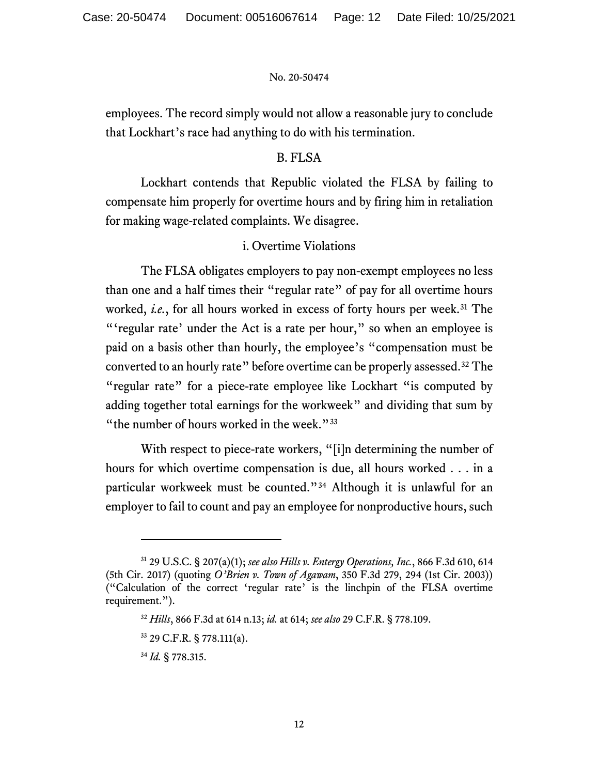employees. The record simply would not allow a reasonable jury to conclude that Lockhart's race had anything to do with his termination.

## B. FLSA

Lockhart contends that Republic violated the FLSA by failing to compensate him properly for overtime hours and by firing him in retaliation for making wage-related complaints. We disagree.

## i. Overtime Violations

The FLSA obligates employers to pay non-exempt employees no less than one and a half times their "regular rate" of pay for all overtime hours worked, *i.e.*, for all hours worked in excess of forty hours per week.<sup>[31](#page-11-0)</sup> The "'regular rate' under the Act is a rate per hour," so when an employee is paid on a basis other than hourly, the employee's "compensation must be converted to an hourly rate" before overtime can be properly assessed.[32](#page-11-1) The "regular rate" for a piece-rate employee like Lockhart "is computed by adding together total earnings for the workweek" and dividing that sum by "the number of hours worked in the week."<sup>[33](#page-11-2)</sup>

With respect to piece-rate workers, "[i]n determining the number of hours for which overtime compensation is due, all hours worked . . . in a particular workweek must be counted."[34](#page-11-3) Although it is unlawful for an employer to fail to count and pay an employee for nonproductive hours, such

<span id="page-11-2"></span><span id="page-11-1"></span><span id="page-11-0"></span><sup>31</sup> 29 U.S.C. § 207(a)(1); *see also Hills v. Entergy Operations, Inc.*, 866 F.3d 610, 614 (5th Cir. 2017) (quoting *O'Brien v. Town of Agawam*, 350 F.3d 279, 294 (1st Cir. 2003)) ("Calculation of the correct 'regular rate' is the linchpin of the FLSA overtime requirement.").

<sup>32</sup> *Hills*, 866 F.3d at 614 n.13; *id.* at 614; *see also* 29 C.F.R. § 778.109.

<sup>33</sup> 29 C.F.R. § 778.111(a).

<span id="page-11-3"></span><sup>34</sup> *Id.* § 778.315.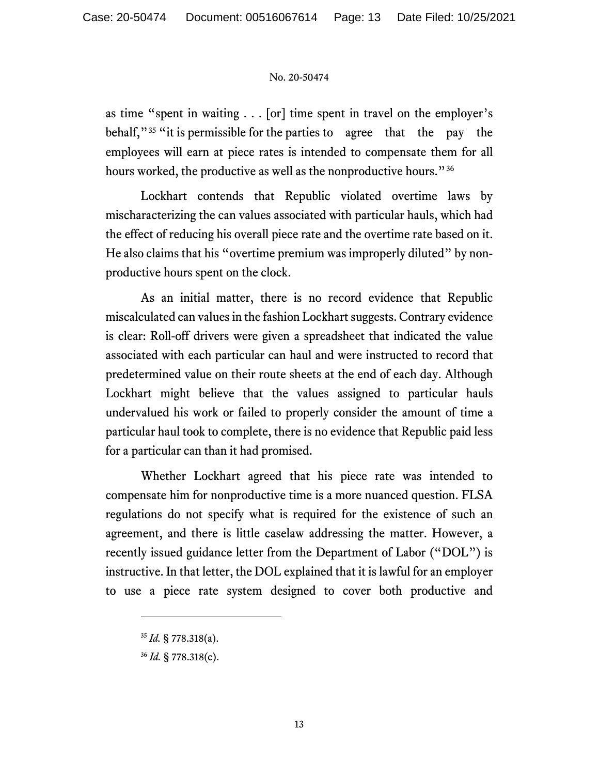as time "spent in waiting . . . [or] time spent in travel on the employer's behalf,"<sup>[35](#page-12-0)</sup> "it is permissible for the parties to agree that the pay the employees will earn at piece rates is intended to compensate them for all hours worked, the productive as well as the nonproductive hours."[36](#page-12-1)

Lockhart contends that Republic violated overtime laws by mischaracterizing the can values associated with particular hauls, which had the effect of reducing his overall piece rate and the overtime rate based on it. He also claims that his "overtime premium was improperly diluted" by nonproductive hours spent on the clock.

As an initial matter, there is no record evidence that Republic miscalculated can values in the fashion Lockhart suggests. Contrary evidence is clear: Roll-off drivers were given a spreadsheet that indicated the value associated with each particular can haul and were instructed to record that predetermined value on their route sheets at the end of each day. Although Lockhart might believe that the values assigned to particular hauls undervalued his work or failed to properly consider the amount of time a particular haul took to complete, there is no evidence that Republic paid less for a particular can than it had promised.

Whether Lockhart agreed that his piece rate was intended to compensate him for nonproductive time is a more nuanced question. FLSA regulations do not specify what is required for the existence of such an agreement, and there is little caselaw addressing the matter. However, a recently issued guidance letter from the Department of Labor ("DOL") is instructive. In that letter, the DOL explained that it is lawful for an employer to use a piece rate system designed to cover both productive and

<span id="page-12-0"></span><sup>35</sup> *Id.* § 778.318(a).

<span id="page-12-1"></span><sup>36</sup> *Id.* § 778.318(c).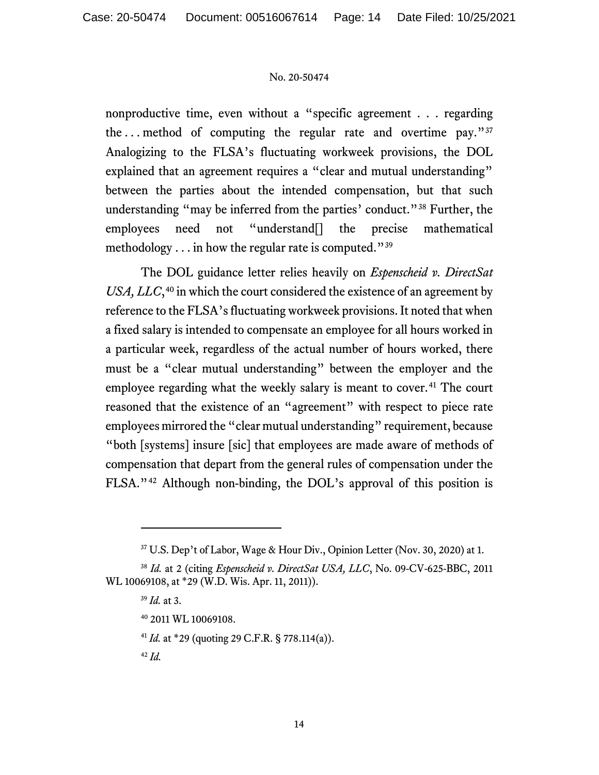nonproductive time, even without a "specific agreement . . . regarding the ... method of computing the regular rate and overtime pay." $37$ Analogizing to the FLSA's fluctuating workweek provisions, the DOL explained that an agreement requires a "clear and mutual understanding" between the parties about the intended compensation, but that such understanding "may be inferred from the parties' conduct."[38](#page-13-1) Further, the employees need not "understand[] the precise mathematical methodology . . . in how the regular rate is computed."[39](#page-13-2)

The DOL guidance letter relies heavily on *Espenscheid v. DirectSat*  USA, LLC,<sup>[40](#page-13-3)</sup> in which the court considered the existence of an agreement by reference to the FLSA's fluctuating workweek provisions. It noted that when a fixed salary is intended to compensate an employee for all hours worked in a particular week, regardless of the actual number of hours worked, there must be a "clear mutual understanding" between the employer and the employee regarding what the weekly salary is meant to cover.<sup>[41](#page-13-4)</sup> The court reasoned that the existence of an "agreement" with respect to piece rate employees mirrored the "clear mutual understanding" requirement, because "both [systems] insure [sic] that employees are made aware of methods of compensation that depart from the general rules of compensation under the FLSA."[42](#page-13-5) Although non-binding, the DOL's approval of this position is

<sup>37</sup> U.S. Dep't of Labor, Wage & Hour Div., Opinion Letter (Nov. 30, 2020) at 1.

<span id="page-13-5"></span><span id="page-13-4"></span><span id="page-13-3"></span><span id="page-13-2"></span><span id="page-13-1"></span><span id="page-13-0"></span><sup>38</sup> *Id.* at 2 (citing *Espenscheid v. DirectSat USA, LLC*, No. 09-CV-625-BBC, 2011 WL 10069108, at \*29 (W.D. Wis. Apr. 11, 2011)).

<sup>39</sup> *Id.* at 3.

<sup>40</sup> 2011 WL 10069108.

<sup>41</sup> *Id.* at \*29 (quoting 29 C.F.R. § 778.114(a)).

<sup>42</sup> *Id.*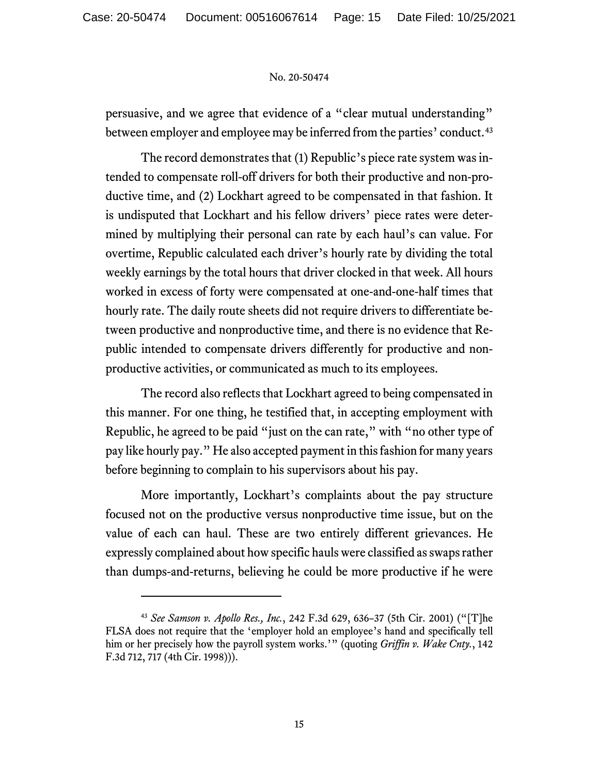persuasive, and we agree that evidence of a "clear mutual understanding" between employer and employee may be inferred from the parties' conduct.<sup>[43](#page-14-0)</sup>

The record demonstrates that (1) Republic's piece rate system was intended to compensate roll-off drivers for both their productive and non-productive time, and (2) Lockhart agreed to be compensated in that fashion. It is undisputed that Lockhart and his fellow drivers' piece rates were determined by multiplying their personal can rate by each haul's can value. For overtime, Republic calculated each driver's hourly rate by dividing the total weekly earnings by the total hours that driver clocked in that week. All hours worked in excess of forty were compensated at one-and-one-half times that hourly rate. The daily route sheets did not require drivers to differentiate between productive and nonproductive time, and there is no evidence that Republic intended to compensate drivers differently for productive and nonproductive activities, or communicated as much to its employees.

The record also reflects that Lockhart agreed to being compensated in this manner. For one thing, he testified that, in accepting employment with Republic, he agreed to be paid "just on the can rate," with "no other type of pay like hourly pay." He also accepted payment in this fashion for many years before beginning to complain to his supervisors about his pay.

More importantly, Lockhart's complaints about the pay structure focused not on the productive versus nonproductive time issue, but on the value of each can haul. These are two entirely different grievances. He expressly complained about how specific haulswere classified as swaps rather than dumps-and-returns, believing he could be more productive if he were

<span id="page-14-0"></span><sup>43</sup> *See Samson v. Apollo Res., Inc.*, 242 F.3d 629, 636–37 (5th Cir. 2001) ("[T]he FLSA does not require that the 'employer hold an employee's hand and specifically tell him or her precisely how the payroll system works.'" (quoting *Griffin v. Wake Cnty.*, 142 F.3d 712, 717 (4th Cir. 1998))).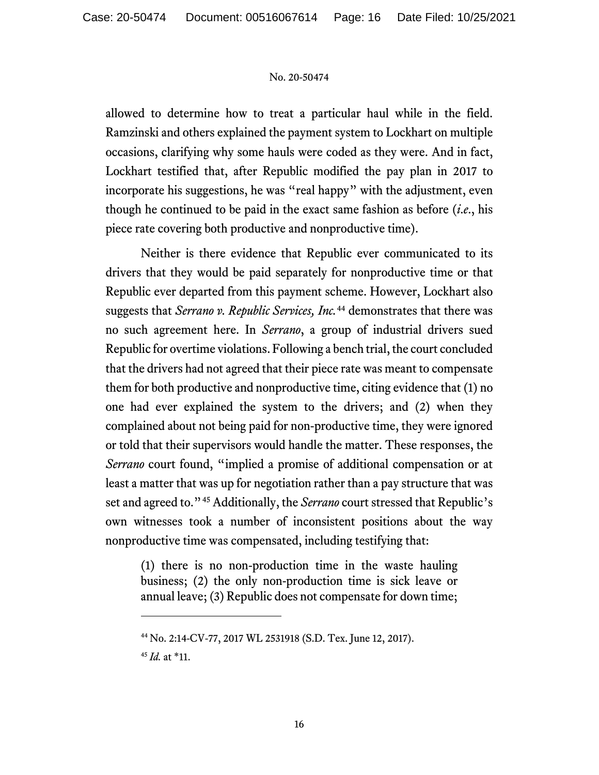allowed to determine how to treat a particular haul while in the field. Ramzinski and others explained the payment system to Lockhart on multiple occasions, clarifying why some hauls were coded as they were. And in fact, Lockhart testified that, after Republic modified the pay plan in 2017 to incorporate his suggestions, he was "real happy" with the adjustment, even though he continued to be paid in the exact same fashion as before (*i*.*e*., his piece rate covering both productive and nonproductive time).

Neither is there evidence that Republic ever communicated to its drivers that they would be paid separately for nonproductive time or that Republic ever departed from this payment scheme. However, Lockhart also suggests that *Serrano v. Republic Services, Inc.*[44](#page-15-0) demonstrates that there was no such agreement here. In *Serrano*, a group of industrial drivers sued Republic for overtime violations. Following a bench trial, the court concluded that the drivers had not agreed that their piece rate was meant to compensate them for both productive and nonproductive time, citing evidence that (1) no one had ever explained the system to the drivers; and (2) when they complained about not being paid for non-productive time, they were ignored or told that their supervisors would handle the matter. These responses, the *Serrano* court found, "implied a promise of additional compensation or at least a matter that was up for negotiation rather than a pay structure that was set and agreed to."[45](#page-15-1) Additionally, the *Serrano* court stressed that Republic's own witnesses took a number of inconsistent positions about the way nonproductive time was compensated, including testifying that:

(1) there is no non-production time in the waste hauling business; (2) the only non-production time is sick leave or annual leave; (3) Republic does not compensate for down time;

<span id="page-15-0"></span><sup>44</sup> No. 2:14-CV-77, 2017 WL 2531918 (S.D. Tex. June 12, 2017).

<span id="page-15-1"></span><sup>45</sup> *Id.* at \*11.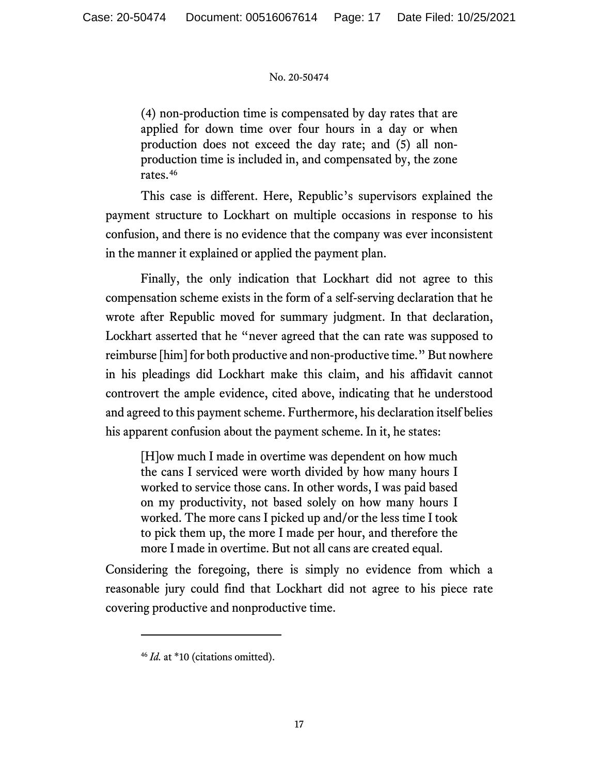(4) non-production time is compensated by day rates that are applied for down time over four hours in a day or when production does not exceed the day rate; and (5) all nonproduction time is included in, and compensated by, the zone rates.[46](#page-16-0)

This case is different. Here, Republic's supervisors explained the payment structure to Lockhart on multiple occasions in response to his confusion, and there is no evidence that the company was ever inconsistent in the manner it explained or applied the payment plan.

Finally, the only indication that Lockhart did not agree to this compensation scheme exists in the form of a self-serving declaration that he wrote after Republic moved for summary judgment. In that declaration, Lockhart asserted that he "never agreed that the can rate was supposed to reimburse [him] for both productive and non-productive time." But nowhere in his pleadings did Lockhart make this claim, and his affidavit cannot controvert the ample evidence, cited above, indicating that he understood and agreed to this payment scheme. Furthermore, his declaration itself belies his apparent confusion about the payment scheme. In it, he states:

[H]ow much I made in overtime was dependent on how much the cans I serviced were worth divided by how many hours I worked to service those cans. In other words, I was paid based on my productivity, not based solely on how many hours I worked. The more cans I picked up and/or the less time I took to pick them up, the more I made per hour, and therefore the more I made in overtime. But not all cans are created equal.

<span id="page-16-0"></span>Considering the foregoing, there is simply no evidence from which a reasonable jury could find that Lockhart did not agree to his piece rate covering productive and nonproductive time.

<sup>&</sup>lt;sup>46</sup> *Id.* at \*10 (citations omitted).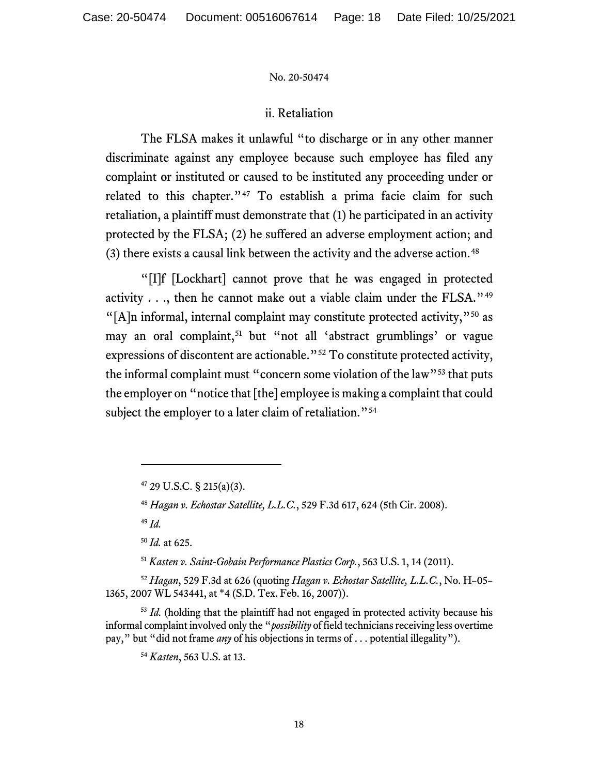## ii. Retaliation

The FLSA makes it unlawful "to discharge or in any other manner discriminate against any employee because such employee has filed any complaint or instituted or caused to be instituted any proceeding under or related to this chapter."<sup>[47](#page-17-0)</sup> To establish a prima facie claim for such retaliation, a plaintiff must demonstrate that (1) he participated in an activity protected by the FLSA; (2) he suffered an adverse employment action; and (3) there exists a causal link between the activity and the adverse action.<sup>[48](#page-17-1)</sup>

"[I]f [Lockhart] cannot prove that he was engaged in protected activity  $\ldots$ , then he cannot make out a viable claim under the FLSA."<sup>[49](#page-17-2)</sup> "[A]n informal, internal complaint may constitute protected activity,"<sup>[50](#page-17-3)</sup> as may an oral complaint, [51](#page-17-4) but "not all 'abstract grumblings' or vague expressions of discontent are actionable."[52](#page-17-5) To constitute protected activity, the informal complaint must "concern some violation of the law"<sup>[53](#page-17-6)</sup> that puts the employer on "notice that [the] employee is making a complaint that could subject the employer to a later claim of retaliation."<sup>[54](#page-17-7)</sup>

<sup>49</sup> *Id.*

<sup>50</sup> *Id.* at 625.

<sup>51</sup> *Kasten v. Saint-Gobain Performance Plastics Corp.*, 563 U.S. 1, 14 (2011).

<span id="page-17-5"></span><span id="page-17-4"></span><span id="page-17-3"></span><span id="page-17-2"></span><span id="page-17-1"></span><sup>52</sup> *Hagan*, 529 F.3d at 626 (quoting *Hagan v. Echostar Satellite, L.L.C.*, No. H–05– 1365, 2007 WL 543441, at \*4 (S.D. Tex. Feb. 16, 2007)).

<span id="page-17-7"></span><span id="page-17-6"></span><sup>53</sup> *Id.* (holding that the plaintiff had not engaged in protected activity because his informal complaint involved only the "*possibility* of field technicians receiving less overtime pay," but "did not frame *any* of his objections in terms of . . . potential illegality").

<span id="page-17-0"></span> $47$  29 U.S.C. § 215(a)(3).

<sup>48</sup> *Hagan v. Echostar Satellite, L.L.C.*, 529 F.3d 617, 624 (5th Cir. 2008).

<sup>54</sup> *Kasten*, 563 U.S. at 13.